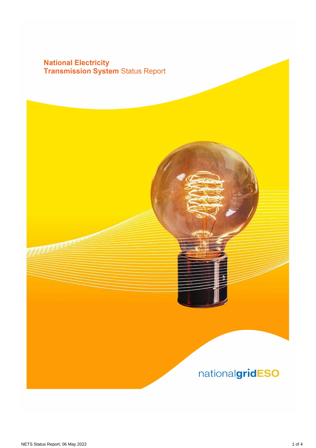# **National Electricity<br>Transmission System Status Report**

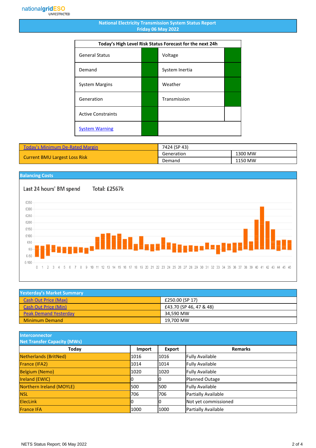#### **National Electricity Transmission System Status Report Friday 06 May 2022**

| Today's High Level Risk Status Forecast for the next 24h |  |                |  |
|----------------------------------------------------------|--|----------------|--|
| <b>General Status</b>                                    |  | Voltage        |  |
| Demand                                                   |  | System Inertia |  |
| <b>System Margins</b>                                    |  | Weather        |  |
| Generation                                               |  | Transmission   |  |
| <b>Active Constraints</b>                                |  |                |  |
| <b>System Warning</b>                                    |  |                |  |

| <b>Today's Minimum De-Rated Margin</b> | 7424 (SP 43) |         |
|----------------------------------------|--------------|---------|
| <b>Current BMU Largest Loss Risk</b>   | Generation   | 1300 MW |
|                                        | Demand       | 1150 MW |

### **Balancing Costs**

Last 24 hours' BM spend Total: £2567k £350 £300 £250 £200 £150 £100 £50 **Lissaarikal**  $E_{0}$  $£-50$  $£-100$ 0 1 2 3 4 5 6 7 8 9 10 11 12 13 14 15 16 17 18 19 20 21 22 23 24 25 26 27 28 29 30 31 32 33 34 35 36 37 38 39 40 41 42 43 44 45 46

| <b>Yesterday's Market Summary</b> |                         |  |
|-----------------------------------|-------------------------|--|
| Cash Out Price (Max)              | £250.00 (SP 17)         |  |
| <b>Cash Out Price (Min)</b>       | £43.70 (SP 46, 47 & 48) |  |
| <b>Peak Demand Yesterday</b>      | 34.590 MW               |  |
| <b>Minimum Demand</b>             | 19,700 MW               |  |

**Interconnector**

| <b>Net Transfer Capacity (MWs)</b> |        |        |                        |
|------------------------------------|--------|--------|------------------------|
| Today                              | Import | Export | <b>Remarks</b>         |
| Netherlands (BritNed)              | 1016   | 1016   | <b>Fully Available</b> |
| France (IFA2)                      | 1014   | 1014   | <b>Fully Available</b> |
| <b>Belgium (Nemo)</b>              | 1020   | 1020   | <b>Fully Available</b> |
| <b>Ireland (EWIC)</b>              |        | 10     | Planned Outage         |
| Northern Ireland (MOYLE)           | 500    | 1500   | <b>Fully Available</b> |
| <b>NSL</b>                         | 706    | 706    | Partially Available    |
| <b>ElecLink</b>                    |        | 10     | Not yet commissioned   |
| <b>France IFA</b>                  | 1000   | 1000   | Partially Available    |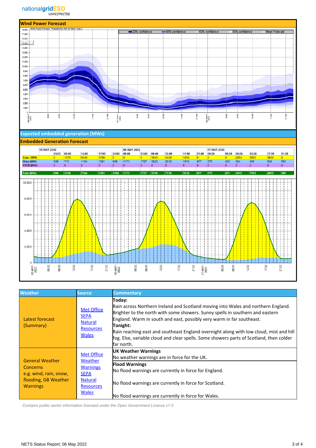

#### **Expected embedded generation (MWs)**

#### **Embedded Generation Forecast**



| <b>Weather</b>                                                                                          | Source,                                                                                                              | <b>Commentary</b>                                                                                                                                                                                                                                                                                                                                                                                                                                                    |
|---------------------------------------------------------------------------------------------------------|----------------------------------------------------------------------------------------------------------------------|----------------------------------------------------------------------------------------------------------------------------------------------------------------------------------------------------------------------------------------------------------------------------------------------------------------------------------------------------------------------------------------------------------------------------------------------------------------------|
| Latest forecast<br>(Summary)                                                                            | <b>Met Office</b><br><b>SEPA</b><br><b>Natural</b><br><b>Resources</b><br><b>Wales</b>                               | Today:<br>Rain across Northern Ireland and Scotland moving into Wales and northern England.<br>Brighter to the north with some showers. Sunny spells in southern and eastern<br>England. Warm in south and east, possibly very warm in far southeast.<br>Tonight:<br>Rain reaching east and southeast England overnight along with low cloud, mist and hill<br>fog. Else, variable cloud and clear spells. Some showers parts of Scotland, then colder<br>far north. |
| <b>General Weather</b><br>Concerns<br>e.g. wind, rain, snow,<br>flooding, GB Weather<br><b>Warnings</b> | <b>Met Office</b><br>Weather<br><b>Warnings</b><br><b>SEPA</b><br><b>Natural</b><br><b>Resources</b><br><b>Wales</b> | <b>UK Weather Warnings</b><br>No weather warnings are in force for the UK.<br><b>Flood Warnings</b><br>No flood warnings are currently in force for England.<br>No flood warnings are currently in force for Scotland.<br>No flood warnings are currently in force for Wales.                                                                                                                                                                                        |

 *Contains public sector information licensed under the Open Government Licence v1.0*